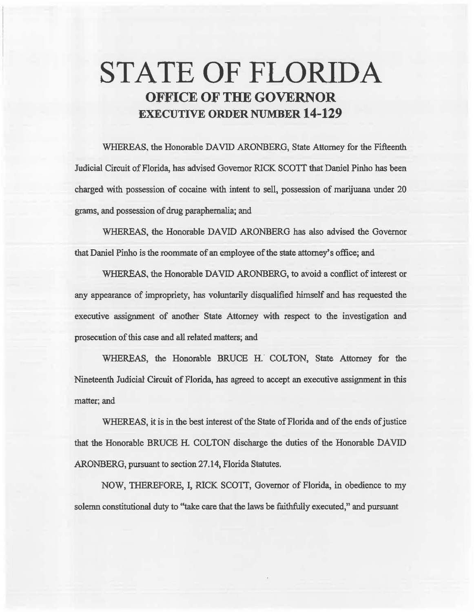# STATE OF FLORIDA OFFICE OF THE GOVERNOR EXECUTIVE ORDER NUMBER 14-129

WHEREAS, the Honorable DAVID ARONBERG, State Attorney for the Fifteenth Judicial Circuit of Florida, has advised Governor RICK SCOTT that Daniel Pinho has been charged with possession of cocaine with intent to sell, possession of marijuana under 20 grams, and possession of drug parapbemalia; and

WHEREAS, the Honorable DAVID ARONBERG has also advised the Governor that Daniel Pinho is the roommate of an employee of the state attomey's office; and

WHEREAS, the Honorable DAVID ARONBERG, to avoid a conflict of interest or any appearance of impropriety, has voluntarily disqualified himself and has requested the executive assignment of another State Attorney with respect to the investigation and prosecution of this case and all related matters; and

WHEREAS, the Honorable BRUCE H. COLTON, State Attorney for the Nineteenth Judicial Circuit of Florida, has agreed to accept an executive assignment in this matter; and

WHEREAS, it is in the best interest of the State of Florida and of the ends of justice that the Honorable BRUCE H. COLTON discharge the duties of the Honorable DAVID ARONBERG, pursuant to section 27.14, Florida Statutes.

NOW, THEREFORE, I, RlCK SCOTT, Governor of Florida, in obedience to my solemn constitutional duty to "take care that the laws be faithfully executed," and pursuant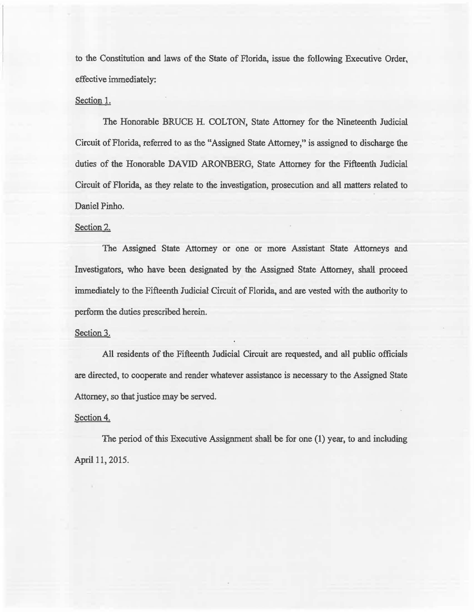to the Constitution and laws of the State of Florida, issue the following Executive Order, effective immediately:

# Section 1.

The Honorable BRUCE H. COLTON, State Attorney for the Nineteenth Judicial Circuit of Florida, referred to as the "Assigned State Attorney," is assigned to discharge the duties of the Honorable DAVID ARONBERG, State Attorney for the Fifteenth Judicial Circuit of Florida, as they relate to the investigation, prosecution and all matters related to Daniel Pinho.

# Section 2.

The Assigned State Attorney or one or more Assistant State Attomeys and Investigators, who have been designated by the Assigned State Attorney, shall proceed immediately to the Fifteenth Judicial: Circuit of Florida, and are vested with the authority to perfonn the duties prescribed herein.

## Section 3.

All residents of the Fifteenth Judicial Circuit are requested, and all public officials are directed, to cooperate and render whatever assistance is necessary to the Assigned State Attorney, so that justice may be served.

#### Section 4.

The period of this Executive Assignment shall be for one (1) year, to and including April 11, 2015.